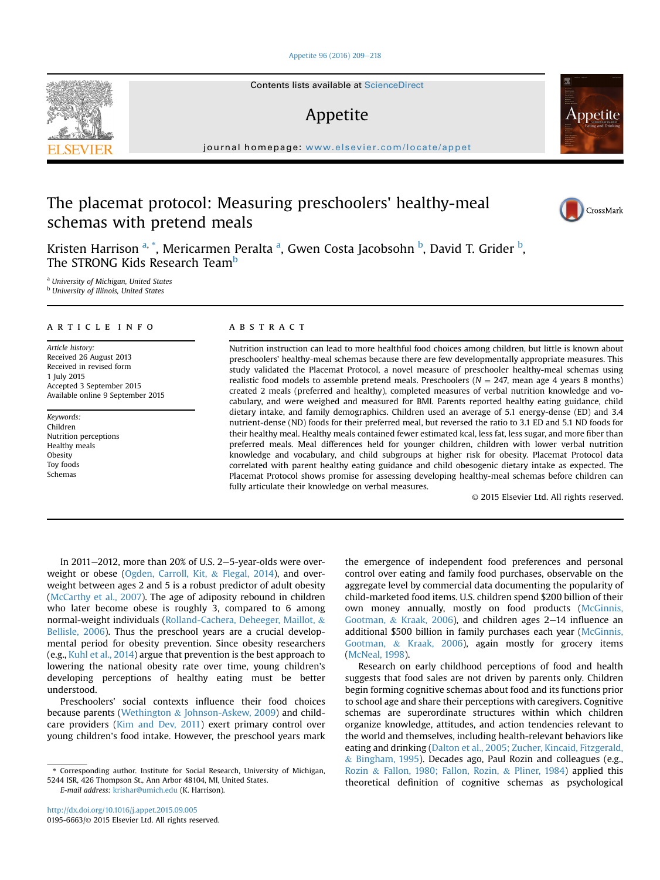# [Appetite 96 \(2016\) 209](http://dx.doi.org/10.1016/j.appet.2015.09.005)-[218](http://dx.doi.org/10.1016/j.appet.2015.09.005)

Contents lists available at ScienceDirect

# Appetite

journal homepage: <www.elsevier.com/locate/appet>

# The placemat protocol: Measuring preschoolers' healthy-meal schemas with pretend meals

Kristen Harrison <sup>a, \*</sup>, Mericarmen Peralta <sup>a</sup>, Gwen Costa Jacobsohn <sup>b</sup>, David T. Grider <sup>b</sup>, The STRONG Kids Research Team<sup>b</sup>

<sup>a</sup> University of Michigan, United States **b** University of Illinois, United States

# article info

Article history: Received 26 August 2013 Received in revised form 1 July 2015 Accepted 3 September 2015 Available online 9 September 2015

Keywords: Children Nutrition perceptions Healthy meals Obesity Toy foods Schemas

# **ABSTRACT**

Nutrition instruction can lead to more healthful food choices among children, but little is known about preschoolers' healthy-meal schemas because there are few developmentally appropriate measures. This study validated the Placemat Protocol, a novel measure of preschooler healthy-meal schemas using realistic food models to assemble pretend meals. Preschoolers ( $N = 247$ , mean age 4 years 8 months) created 2 meals (preferred and healthy), completed measures of verbal nutrition knowledge and vocabulary, and were weighed and measured for BMI. Parents reported healthy eating guidance, child dietary intake, and family demographics. Children used an average of 5.1 energy-dense (ED) and 3.4 nutrient-dense (ND) foods for their preferred meal, but reversed the ratio to 3.1 ED and 5.1 ND foods for their healthy meal. Healthy meals contained fewer estimated kcal, less fat, less sugar, and more fiber than preferred meals. Meal differences held for younger children, children with lower verbal nutrition knowledge and vocabulary, and child subgroups at higher risk for obesity. Placemat Protocol data correlated with parent healthy eating guidance and child obesogenic dietary intake as expected. The Placemat Protocol shows promise for assessing developing healthy-meal schemas before children can fully articulate their knowledge on verbal measures.

© 2015 Elsevier Ltd. All rights reserved.

In 2011 $-$ 2012, more than 20% of U.S. 2 $-$ 5-year-olds were overweight or obese ([Ogden, Carroll, Kit,](#page-9-0) & [Flegal, 2014](#page-9-0)), and overweight between ages 2 and 5 is a robust predictor of adult obesity ([McCarthy et al., 2007\)](#page-8-0). The age of adiposity rebound in children who later become obese is roughly 3, compared to 6 among normal-weight individuals [\(Rolland-Cachera, Deheeger, Maillot,](#page-9-0) & [Bellisle, 2006\)](#page-9-0). Thus the preschool years are a crucial developmental period for obesity prevention. Since obesity researchers (e.g., [Kuhl et al., 2014\)](#page-8-0) argue that prevention is the best approach to lowering the national obesity rate over time, young children's developing perceptions of healthy eating must be better understood.

Preschoolers' social contexts influence their food choices because parents [\(Wethington](#page-9-0) & [Johnson-Askew, 2009\)](#page-9-0) and childcare providers [\(Kim and Dev, 2011](#page-8-0)) exert primary control over young children's food intake. However, the preschool years mark

E-mail address: [krishar@umich.edu](mailto:krishar@umich.edu) (K. Harrison).

the emergence of independent food preferences and personal control over eating and family food purchases, observable on the aggregate level by commercial data documenting the popularity of child-marketed food items. U.S. children spend \$200 billion of their own money annually, mostly on food products ([McGinnis,](#page-8-0) [Gootman,](#page-8-0)  $&$  [Kraak, 2006](#page-8-0)), and children ages 2-14 influence an additional \$500 billion in family purchases each year ([McGinnis,](#page-8-0) [Gootman,](#page-8-0) & [Kraak, 2006\)](#page-8-0), again mostly for grocery items ([McNeal, 1998](#page-8-0)).

Research on early childhood perceptions of food and health suggests that food sales are not driven by parents only. Children begin forming cognitive schemas about food and its functions prior to school age and share their perceptions with caregivers. Cognitive schemas are superordinate structures within which children organize knowledge, attitudes, and action tendencies relevant to the world and themselves, including health-relevant behaviors like eating and drinking ([Dalton et al., 2005; Zucher, Kincaid, Fitzgerald,](#page-8-0) & [Bingham, 1995](#page-8-0)). Decades ago, Paul Rozin and colleagues (e.g., [Rozin](#page-9-0) & [Fallon, 1980; Fallon, Rozin,](#page-9-0) & [Pliner, 1984\)](#page-9-0) applied this theoretical definition of cognitive schemas as psychological







<sup>\*</sup> Corresponding author. Institute for Social Research, University of Michigan, 5244 ISR, 426 Thompson St., Ann Arbor 48104, MI, United States.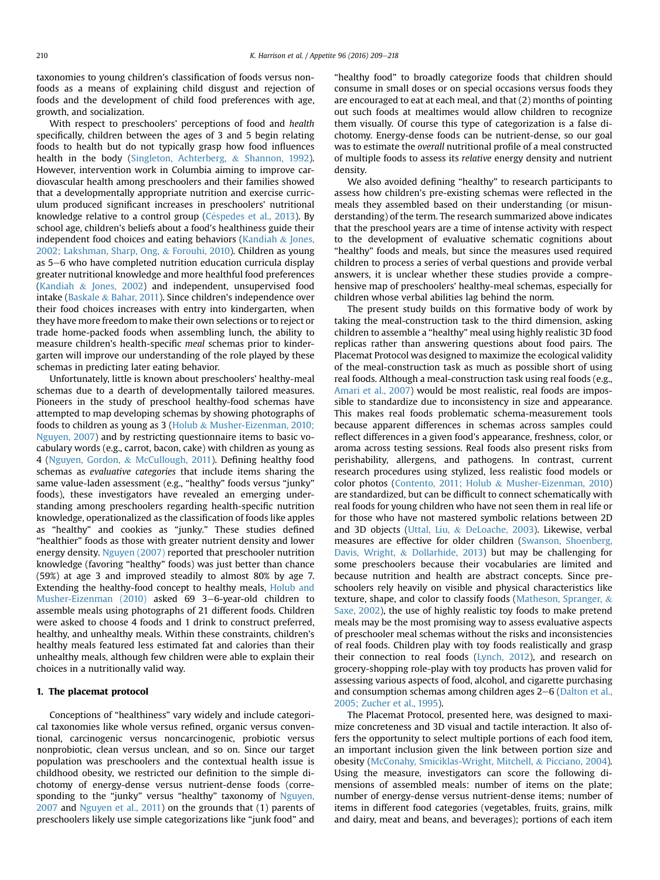taxonomies to young children's classification of foods versus nonfoods as a means of explaining child disgust and rejection of foods and the development of child food preferences with age, growth, and socialization.

With respect to preschoolers' perceptions of food and health specifically, children between the ages of 3 and 5 begin relating foods to health but do not typically grasp how food influences health in the body [\(Singleton, Achterberg,](#page-9-0) & [Shannon, 1992\)](#page-9-0). However, intervention work in Columbia aiming to improve cardiovascular health among preschoolers and their families showed that a developmentally appropriate nutrition and exercise curriculum produced significant increases in preschoolers' nutritional knowledge relative to a control group (Céspedes et al., 2013). By school age, children's beliefs about a food's healthiness guide their independent food choices and eating behaviors [\(Kandiah](#page-8-0)  $\&$  [Jones,](#page-8-0) [2002; Lakshman, Sharp, Ong,](#page-8-0) & [Forouhi, 2010](#page-8-0)). Children as young as  $5-6$  who have completed nutrition education curricula display greater nutritional knowledge and more healthful food preferences ([Kandiah](#page-8-0) & [Jones, 2002](#page-8-0)) and independent, unsupervised food intake ([Baskale](#page-8-0) & [Bahar, 2011\)](#page-8-0). Since children's independence over their food choices increases with entry into kindergarten, when they have more freedom to make their own selections or to reject or trade home-packed foods when assembling lunch, the ability to measure children's health-specific meal schemas prior to kindergarten will improve our understanding of the role played by these schemas in predicting later eating behavior.

Unfortunately, little is known about preschoolers' healthy-meal schemas due to a dearth of developmentally tailored measures. Pioneers in the study of preschool healthy-food schemas have attempted to map developing schemas by showing photographs of foods to children as young as 3 ([Holub](#page-8-0) & [Musher-Eizenman, 2010;](#page-8-0) [Nguyen, 2007\)](#page-8-0) and by restricting questionnaire items to basic vocabulary words (e.g., carrot, bacon, cake) with children as young as 4 [\(Nguyen, Gordon,](#page-8-0) & [McCullough, 2011\)](#page-8-0). Defining healthy food schemas as evaluative categories that include items sharing the same value-laden assessment (e.g., "healthy" foods versus "junky" foods), these investigators have revealed an emerging understanding among preschoolers regarding health-specific nutrition knowledge, operationalized as the classification of foods like apples as "healthy" and cookies as "junky." These studies defined "healthier" foods as those with greater nutrient density and lower energy density. [Nguyen \(2007\)](#page-8-0) reported that preschooler nutrition knowledge (favoring "healthy" foods) was just better than chance (59%) at age 3 and improved steadily to almost 80% by age 7. Extending the healthy-food concept to healthy meals, [Holub and](#page-8-0) [Musher-Eizenman \(2010\)](#page-8-0) asked 69 3-6-year-old children to assemble meals using photographs of 21 different foods. Children were asked to choose 4 foods and 1 drink to construct preferred, healthy, and unhealthy meals. Within these constraints, children's healthy meals featured less estimated fat and calories than their unhealthy meals, although few children were able to explain their choices in a nutritionally valid way.

# 1. The placemat protocol

Conceptions of "healthiness" vary widely and include categorical taxonomies like whole versus refined, organic versus conventional, carcinogenic versus noncarcinogenic, probiotic versus nonprobiotic, clean versus unclean, and so on. Since our target population was preschoolers and the contextual health issue is childhood obesity, we restricted our definition to the simple dichotomy of energy-dense versus nutrient-dense foods (corresponding to the "junky" versus "healthy" taxonomy of [Nguyen,](#page-8-0) [2007](#page-8-0) and [Nguyen et al., 2011\)](#page-8-0) on the grounds that (1) parents of preschoolers likely use simple categorizations like "junk food" and "healthy food" to broadly categorize foods that children should consume in small doses or on special occasions versus foods they are encouraged to eat at each meal, and that (2) months of pointing out such foods at mealtimes would allow children to recognize them visually. Of course this type of categorization is a false dichotomy. Energy-dense foods can be nutrient-dense, so our goal was to estimate the overall nutritional profile of a meal constructed of multiple foods to assess its relative energy density and nutrient density.

We also avoided defining "healthy" to research participants to assess how children's pre-existing schemas were reflected in the meals they assembled based on their understanding (or misunderstanding) of the term. The research summarized above indicates that the preschool years are a time of intense activity with respect to the development of evaluative schematic cognitions about "healthy" foods and meals, but since the measures used required children to process a series of verbal questions and provide verbal answers, it is unclear whether these studies provide a comprehensive map of preschoolers' healthy-meal schemas, especially for children whose verbal abilities lag behind the norm.

The present study builds on this formative body of work by taking the meal-construction task to the third dimension, asking children to assemble a "healthy" meal using highly realistic 3D food replicas rather than answering questions about food pairs. The Placemat Protocol was designed to maximize the ecological validity of the meal-construction task as much as possible short of using real foods. Although a meal-construction task using real foods (e.g., [Amari et al., 2007](#page-8-0)) would be most realistic, real foods are impossible to standardize due to inconsistency in size and appearance. This makes real foods problematic schema-measurement tools because apparent differences in schemas across samples could reflect differences in a given food's appearance, freshness, color, or aroma across testing sessions. Real foods also present risks from perishability, allergens, and pathogens. In contrast, current research procedures using stylized, less realistic food models or color photos ([Contento, 2011; Holub](#page-8-0) & [Musher-Eizenman, 2010\)](#page-8-0) are standardized, but can be difficult to connect schematically with real foods for young children who have not seen them in real life or for those who have not mastered symbolic relations between 2D and 3D objects [\(Uttal, Liu,](#page-9-0) & [DeLoache, 2003\)](#page-9-0). Likewise, verbal measures are effective for older children ([Swanson, Shoenberg,](#page-9-0) [Davis, Wright,](#page-9-0) & [Dollarhide, 2013\)](#page-9-0) but may be challenging for some preschoolers because their vocabularies are limited and because nutrition and health are abstract concepts. Since preschoolers rely heavily on visible and physical characteristics like texture, shape, and color to classify foods [\(Matheson, Spranger,](#page-8-0) & [Saxe, 2002](#page-8-0)), the use of highly realistic toy foods to make pretend meals may be the most promising way to assess evaluative aspects of preschooler meal schemas without the risks and inconsistencies of real foods. Children play with toy foods realistically and grasp their connection to real foods ([Lynch, 2012\)](#page-8-0), and research on grocery-shopping role-play with toy products has proven valid for assessing various aspects of food, alcohol, and cigarette purchasing and consumption schemas among children ages  $2-6$  ([Dalton et al.,](#page-8-0) [2005; Zucher et al., 1995](#page-8-0)).

The Placemat Protocol, presented here, was designed to maximize concreteness and 3D visual and tactile interaction. It also offers the opportunity to select multiple portions of each food item, an important inclusion given the link between portion size and obesity ([McConahy, Smiciklas-Wright, Mitchell,](#page-8-0) & [Picciano, 2004\)](#page-8-0). Using the measure, investigators can score the following dimensions of assembled meals: number of items on the plate; number of energy-dense versus nutrient-dense items; number of items in different food categories (vegetables, fruits, grains, milk and dairy, meat and beans, and beverages); portions of each item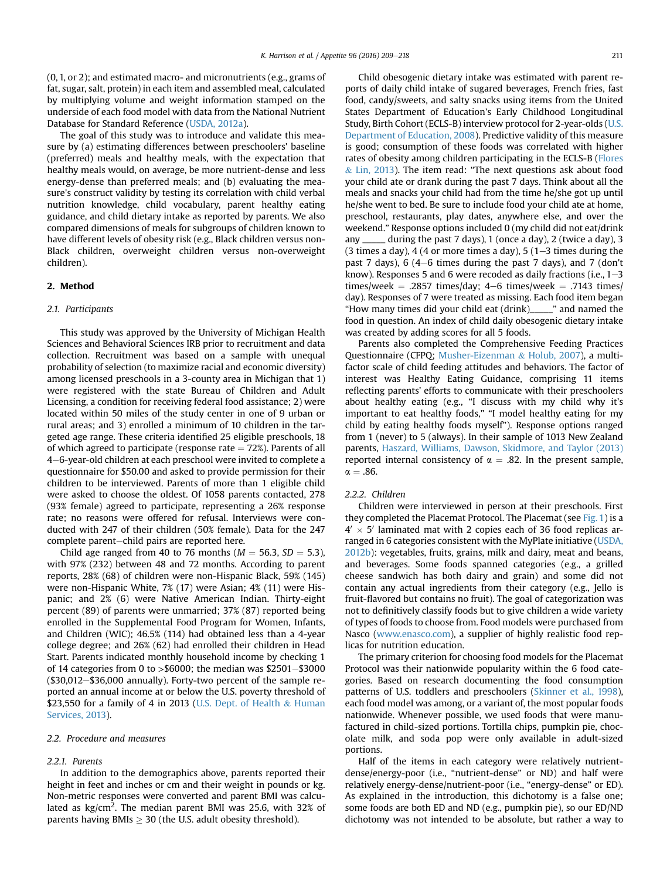(0, 1, or 2); and estimated macro- and micronutrients (e.g., grams of fat, sugar, salt, protein) in each item and assembled meal, calculated by multiplying volume and weight information stamped on the underside of each food model with data from the National Nutrient Database for Standard Reference [\(USDA, 2012a](#page-9-0)).

The goal of this study was to introduce and validate this measure by (a) estimating differences between preschoolers' baseline (preferred) meals and healthy meals, with the expectation that healthy meals would, on average, be more nutrient-dense and less energy-dense than preferred meals; and (b) evaluating the measure's construct validity by testing its correlation with child verbal nutrition knowledge, child vocabulary, parent healthy eating guidance, and child dietary intake as reported by parents. We also compared dimensions of meals for subgroups of children known to have different levels of obesity risk (e.g., Black children versus non-Black children, overweight children versus non-overweight children).

# 2. Method

# 2.1. Participants

This study was approved by the University of Michigan Health Sciences and Behavioral Sciences IRB prior to recruitment and data collection. Recruitment was based on a sample with unequal probability of selection (to maximize racial and economic diversity) among licensed preschools in a 3-county area in Michigan that 1) were registered with the state Bureau of Children and Adult Licensing, a condition for receiving federal food assistance; 2) were located within 50 miles of the study center in one of 9 urban or rural areas; and 3) enrolled a minimum of 10 children in the targeted age range. These criteria identified 25 eligible preschools, 18 of which agreed to participate (response rate  $= 72\%$ ). Parents of all 4-6-year-old children at each preschool were invited to complete a questionnaire for \$50.00 and asked to provide permission for their children to be interviewed. Parents of more than 1 eligible child were asked to choose the oldest. Of 1058 parents contacted, 278 (93% female) agreed to participate, representing a 26% response rate; no reasons were offered for refusal. Interviews were conducted with 247 of their children (50% female). Data for the 247 complete parent-child pairs are reported here.

Child age ranged from 40 to 76 months ( $M = 56.3$ ,  $SD = 5.3$ ), with 97% (232) between 48 and 72 months. According to parent reports, 28% (68) of children were non-Hispanic Black, 59% (145) were non-Hispanic White, 7% (17) were Asian; 4% (11) were Hispanic; and 2% (6) were Native American Indian. Thirty-eight percent (89) of parents were unmarried; 37% (87) reported being enrolled in the Supplemental Food Program for Women, Infants, and Children (WIC); 46.5% (114) had obtained less than a 4-year college degree; and 26% (62) had enrolled their children in Head Start. Parents indicated monthly household income by checking 1 of 14 categories from 0 to  $> $6000$ ; the median was \$2501-\$3000  $($30,012-$36,000$  annually). Forty-two percent of the sample reported an annual income at or below the U.S. poverty threshold of \$23,550 for a family of 4 in 2013 [\(U.S. Dept. of Health](#page-9-0) & [Human](#page-9-0) [Services, 2013\)](#page-9-0).

#### 2.2. Procedure and measures

#### 2.2.1. Parents

In addition to the demographics above, parents reported their height in feet and inches or cm and their weight in pounds or kg. Non-metric responses were converted and parent BMI was calculated as kg/cm<sup>2</sup>. The median parent BMI was 25.6, with 32% of parents having BMIs  $\geq 30$  (the U.S. adult obesity threshold).

Child obesogenic dietary intake was estimated with parent reports of daily child intake of sugared beverages, French fries, fast food, candy/sweets, and salty snacks using items from the United States Department of Education's Early Childhood Longitudinal Study, Birth Cohort (ECLS-B) interview protocol for 2-year-olds ([U.S.](#page-9-0) [Department of Education, 2008\)](#page-9-0). Predictive validity of this measure is good; consumption of these foods was correlated with higher rates of obesity among children participating in the ECLS-B [\(Flores](#page-8-0) & [Lin, 2013](#page-8-0)). The item read: "The next questions ask about food your child ate or drank during the past 7 days. Think about all the meals and snacks your child had from the time he/she got up until he/she went to bed. Be sure to include food your child ate at home, preschool, restaurants, play dates, anywhere else, and over the weekend." Response options included 0 (my child did not eat/drink any \_\_\_\_\_ during the past 7 days), 1 (once a day), 2 (twice a day), 3 (3 times a day), 4 (4 or more times a day), 5 (1–3 times during the past 7 days),  $6(4-6)$  times during the past 7 days), and 7 (don't know). Responses 5 and 6 were recoded as daily fractions (i.e.,  $1-3$ times/week = .2857 times/day; 4–6 times/week = .7143 times/ day). Responses of 7 were treated as missing. Each food item began "How many times did your child eat (drink)\_\_\_\_\_" and named the food in question. An index of child daily obesogenic dietary intake was created by adding scores for all 5 foods.

Parents also completed the Comprehensive Feeding Practices Questionnaire (CFPQ; [Musher-Eizenman](#page-8-0) & [Holub, 2007\)](#page-8-0), a multifactor scale of child feeding attitudes and behaviors. The factor of interest was Healthy Eating Guidance, comprising 11 items reflecting parents' efforts to communicate with their preschoolers about healthy eating (e.g., "I discuss with my child why it's important to eat healthy foods," "I model healthy eating for my child by eating healthy foods myself"). Response options ranged from 1 (never) to 5 (always). In their sample of 1013 New Zealand parents, [Haszard, Williams, Dawson, Skidmore, and Taylor \(2013\)](#page-8-0) reported internal consistency of  $\alpha = .82$ . In the present sample,  $\alpha = .86$ .

#### 2.2.2. Children

Children were interviewed in person at their preschools. First they completed the Placemat Protocol. The Placemat (see [Fig. 1](#page-3-0)) is a  $4' \times 5'$  laminated mat with 2 copies each of 36 food replicas arranged in 6 categories consistent with the MyPlate initiative [\(USDA,](#page-9-0) [2012b\)](#page-9-0): vegetables, fruits, grains, milk and dairy, meat and beans, and beverages. Some foods spanned categories (e.g., a grilled cheese sandwich has both dairy and grain) and some did not contain any actual ingredients from their category (e.g., Jello is fruit-flavored but contains no fruit). The goal of categorization was not to definitively classify foods but to give children a wide variety of types of foods to choose from. Food models were purchased from Nasco [\(www.enasco.com\)](http://www.enasco.com), a supplier of highly realistic food replicas for nutrition education.

The primary criterion for choosing food models for the Placemat Protocol was their nationwide popularity within the 6 food categories. Based on research documenting the food consumption patterns of U.S. toddlers and preschoolers [\(Skinner et al., 1998\)](#page-9-0), each food model was among, or a variant of, the most popular foods nationwide. Whenever possible, we used foods that were manufactured in child-sized portions. Tortilla chips, pumpkin pie, chocolate milk, and soda pop were only available in adult-sized portions.

Half of the items in each category were relatively nutrientdense/energy-poor (i.e., "nutrient-dense" or ND) and half were relatively energy-dense/nutrient-poor (i.e., "energy-dense" or ED). As explained in the introduction, this dichotomy is a false one; some foods are both ED and ND (e.g., pumpkin pie), so our ED/ND dichotomy was not intended to be absolute, but rather a way to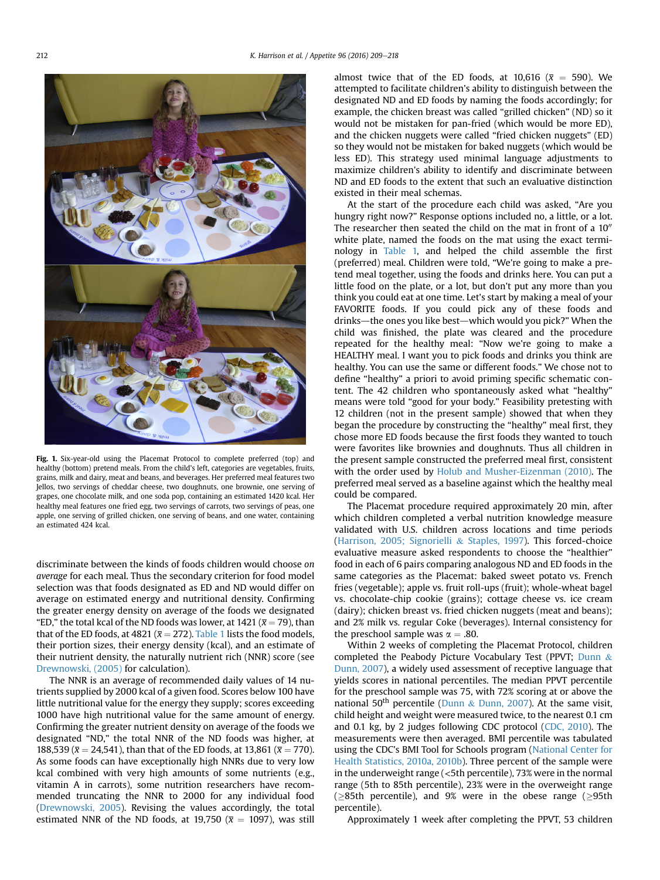<span id="page-3-0"></span>

Fig. 1. Six-year-old using the Placemat Protocol to complete preferred (top) and healthy (bottom) pretend meals. From the child's left, categories are vegetables, fruits, grains, milk and dairy, meat and beans, and beverages. Her preferred meal features two Jellos, two servings of cheddar cheese, two doughnuts, one brownie, one serving of grapes, one chocolate milk, and one soda pop, containing an estimated 1420 kcal. Her healthy meal features one fried egg, two servings of carrots, two servings of peas, one apple, one serving of grilled chicken, one serving of beans, and one water, containing an estimated 424 kcal.

discriminate between the kinds of foods children would choose on average for each meal. Thus the secondary criterion for food model selection was that foods designated as ED and ND would differ on average on estimated energy and nutritional density. Confirming the greater energy density on average of the foods we designated "ED," the total kcal of the ND foods was lower, at 1421 ( $\bar{x}$  = 79), than that of the ED foods, at 4821 ( $\bar{x}$  = 272). [Table 1](#page-4-0) lists the food models, their portion sizes, their energy density (kcal), and an estimate of their nutrient density, the naturally nutrient rich (NNR) score (see [Drewnowski, \(2005\)](#page-8-0) for calculation).

The NNR is an average of recommended daily values of 14 nutrients supplied by 2000 kcal of a given food. Scores below 100 have little nutritional value for the energy they supply; scores exceeding 1000 have high nutritional value for the same amount of energy. Confirming the greater nutrient density on average of the foods we designated "ND," the total NNR of the ND foods was higher, at 188,539 ( $\bar{x}$  = 24,541), than that of the ED foods, at 13,861 ( $\bar{x}$  = 770). As some foods can have exceptionally high NNRs due to very low kcal combined with very high amounts of some nutrients (e.g., vitamin A in carrots), some nutrition researchers have recommended truncating the NNR to 2000 for any individual food ([Drewnowski, 2005](#page-8-0)). Revising the values accordingly, the total estimated NNR of the ND foods, at 19,750 ( $\bar{x}$  = 1097), was still almost twice that of the ED foods, at 10,616 ( $\bar{x}$  = 590). We attempted to facilitate children's ability to distinguish between the designated ND and ED foods by naming the foods accordingly; for example, the chicken breast was called "grilled chicken" (ND) so it would not be mistaken for pan-fried (which would be more ED), and the chicken nuggets were called "fried chicken nuggets" (ED) so they would not be mistaken for baked nuggets (which would be less ED). This strategy used minimal language adjustments to maximize children's ability to identify and discriminate between ND and ED foods to the extent that such an evaluative distinction existed in their meal schemas.

At the start of the procedure each child was asked, "Are you hungry right now?" Response options included no, a little, or a lot. The researcher then seated the child on the mat in front of a  $10<sup>o</sup>$ white plate, named the foods on the mat using the exact terminology in [Table 1,](#page-4-0) and helped the child assemble the first (preferred) meal. Children were told, "We're going to make a pretend meal together, using the foods and drinks here. You can put a little food on the plate, or a lot, but don't put any more than you think you could eat at one time. Let's start by making a meal of your FAVORITE foods. If you could pick any of these foods and drinks-the ones you like best-which would you pick?" When the child was finished, the plate was cleared and the procedure repeated for the healthy meal: "Now we're going to make a HEALTHY meal. I want you to pick foods and drinks you think are healthy. You can use the same or different foods." We chose not to define "healthy" a priori to avoid priming specific schematic content. The 42 children who spontaneously asked what "healthy" means were told "good for your body." Feasibility pretesting with 12 children (not in the present sample) showed that when they began the procedure by constructing the "healthy" meal first, they chose more ED foods because the first foods they wanted to touch were favorites like brownies and doughnuts. Thus all children in the present sample constructed the preferred meal first, consistent with the order used by [Holub and Musher-Eizenman \(2010\).](#page-8-0) The preferred meal served as a baseline against which the healthy meal could be compared.

The Placemat procedure required approximately 20 min, after which children completed a verbal nutrition knowledge measure validated with U.S. children across locations and time periods ([Harrison, 2005; Signorielli](#page-8-0) & [Staples, 1997\)](#page-8-0). This forced-choice evaluative measure asked respondents to choose the "healthier" food in each of 6 pairs comparing analogous ND and ED foods in the same categories as the Placemat: baked sweet potato vs. French fries (vegetable); apple vs. fruit roll-ups (fruit); whole-wheat bagel vs. chocolate-chip cookie (grains); cottage cheese vs. ice cream (dairy); chicken breast vs. fried chicken nuggets (meat and beans); and 2% milk vs. regular Coke (beverages). Internal consistency for the preschool sample was  $\alpha = .80$ .

Within 2 weeks of completing the Placemat Protocol, children completed the Peabody Picture Vocabulary Test (PPVT; [Dunn](#page-8-0) & [Dunn, 2007](#page-8-0)), a widely used assessment of receptive language that yields scores in national percentiles. The median PPVT percentile for the preschool sample was 75, with 72% scoring at or above the national 50<sup>th</sup> percentile ([Dunn](#page-8-0) & [Dunn, 2007](#page-8-0)). At the same visit, child height and weight were measured twice, to the nearest 0.1 cm and 0.1 kg, by 2 judges following CDC protocol ([CDC, 2010\)](#page-8-0). The measurements were then averaged. BMI percentile was tabulated using the CDC's BMI Tool for Schools program ([National Center for](#page-8-0) [Health Statistics, 2010a, 2010b](#page-8-0)). Three percent of the sample were in the underweight range (<5th percentile), 73% were in the normal range (5th to 85th percentile), 23% were in the overweight range  $(\geq$ 85th percentile), and 9% were in the obese range ( $\geq$ 95th percentile).

Approximately 1 week after completing the PPVT, 53 children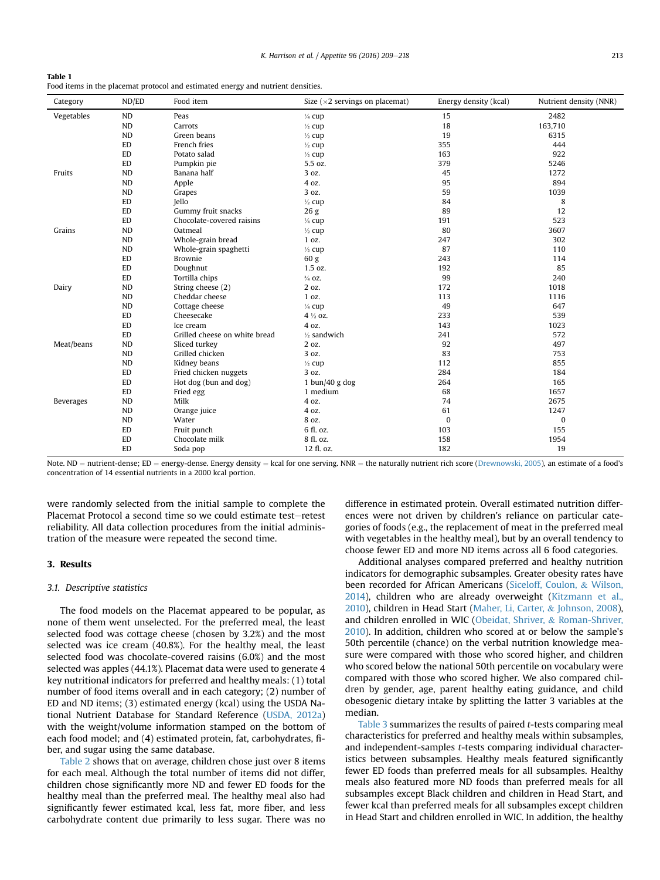<span id="page-4-0"></span>

| Table 1                                                                          |
|----------------------------------------------------------------------------------|
| Food items in the placemat protocol and estimated energy and nutrient densities. |

| Category         | ND/ED                      | Food item                     | Size ( $\times$ 2 servings on placemat) | Energy density (kcal) | Nutrient density (NNR) |
|------------------|----------------------------|-------------------------------|-----------------------------------------|-----------------------|------------------------|
| Vegetables       | ND                         | Peas                          | $\frac{1}{4}$ cup                       | 15                    | 2482                   |
|                  | ND                         | Carrots                       | $\frac{1}{2}$ cup                       | 18                    | 163,710                |
|                  | ND                         | Green beans                   | $\frac{1}{2}$ cup                       | 19                    | 6315                   |
|                  | <b>ED</b>                  | French fries                  | $\frac{1}{2}$ cup                       | 355                   | 444                    |
|                  | ED                         | Potato salad                  | $\frac{1}{2}$ cup                       | 163                   | 922                    |
|                  | <b>ED</b>                  | Pumpkin pie                   | 5.5 oz.                                 | 379                   | 5246                   |
| Fruits           | ND                         | Banana half                   | 3 oz.                                   | 45                    | 1272                   |
|                  | <b>ND</b>                  | Apple                         | 4 oz.                                   | 95                    | 894                    |
|                  | ND                         | Grapes                        | 3 oz.                                   | 59                    | 1039                   |
|                  | ED                         | Jello                         | $\frac{1}{2}$ cup                       | 84                    | 8                      |
|                  | $\mathop{\rm ED}\nolimits$ | Gummy fruit snacks            | 26 <sub>g</sub>                         | 89                    | 12                     |
|                  | <b>ED</b>                  | Chocolate-covered raisins     | $\frac{1}{4}$ cup                       | 191                   | 523                    |
| Grains           | ND                         | Oatmeal                       | $\frac{1}{2}$ cup                       | 80                    | 3607                   |
|                  | ND                         | Whole-grain bread             | 1 oz.                                   | 247                   | 302                    |
|                  | ND                         | Whole-grain spaghetti         | $\frac{1}{2}$ cup                       | 87                    | 110                    |
|                  | <b>ED</b>                  | Brownie                       | 60 <sub>g</sub>                         | 243                   | 114                    |
|                  | ED                         | Doughnut                      | $1.5$ oz.                               | 192                   | 85                     |
|                  | ED                         | Tortilla chips                | $\frac{3}{4}$ OZ.                       | 99                    | 240                    |
| Dairy            | ND                         | String cheese (2)             | 2 oz.                                   | 172                   | 1018                   |
|                  | ND                         | Cheddar cheese                | 1 oz.                                   | 113                   | 1116                   |
|                  | <b>ND</b>                  | Cottage cheese                | $\frac{1}{4}$ cup                       | 49                    | 647                    |
|                  | ED                         | Cheesecake                    | 4 1/2 oz.                               | 233                   | 539                    |
|                  | ED                         | Ice cream                     | 4 oz.                                   | 143                   | 1023                   |
|                  | $\mathop{\rm ED}\nolimits$ | Grilled cheese on white bread | $\frac{1}{2}$ sandwich                  | 241                   | 572                    |
| Meat/beans       | ND                         | Sliced turkey                 | 2 oz.                                   | 92                    | 497                    |
|                  | ND                         | Grilled chicken               | 3 oz.                                   | 83                    | 753                    |
|                  | ND                         | Kidney beans                  | $\frac{1}{2}$ cup                       | 112                   | 855                    |
|                  | $\mathop{\rm ED}\nolimits$ | Fried chicken nuggets         | 3 oz.                                   | 284                   | 184                    |
|                  | <b>ED</b>                  | Hot dog (bun and dog)         | 1 bun/40 $g$ dog                        | 264                   | 165                    |
|                  | <b>ED</b>                  | Fried egg                     | 1 medium                                | 68                    | 1657                   |
| <b>Beverages</b> | ND                         | Milk                          | 4 oz.                                   | 74                    | 2675                   |
|                  | ND                         | Orange juice                  | 4 oz.                                   | 61                    | 1247                   |
|                  | ND                         | Water                         | 8 oz.                                   | $\mathbf{0}$          | $\bf{0}$               |
|                  | <b>ED</b>                  | Fruit punch                   | 6 fl. oz.                               | 103                   | 155                    |
|                  | ED                         | Chocolate milk                | 8 fl. oz.                               | 158                   | 1954                   |
|                  | $\mathop{\rm ED}\nolimits$ | Soda pop                      | 12 fl. oz.                              | 182                   | 19                     |

Note. ND = nutrient-dense; ED = energy-dense. Energy density = kcal for one serving. NNR = the naturally nutrient rich score ([Drewnowski, 2005\)](#page-8-0), an estimate of a food's concentration of 14 essential nutrients in a 2000 kcal portion.

were randomly selected from the initial sample to complete the Placemat Protocol a second time so we could estimate test-retest reliability. All data collection procedures from the initial administration of the measure were repeated the second time.

# 3. Results

## 3.1. Descriptive statistics

The food models on the Placemat appeared to be popular, as none of them went unselected. For the preferred meal, the least selected food was cottage cheese (chosen by 3.2%) and the most selected was ice cream (40.8%). For the healthy meal, the least selected food was chocolate-covered raisins (6.0%) and the most selected was apples (44.1%). Placemat data were used to generate 4 key nutritional indicators for preferred and healthy meals: (1) total number of food items overall and in each category; (2) number of ED and ND items; (3) estimated energy (kcal) using the USDA National Nutrient Database for Standard Reference [\(USDA, 2012a\)](#page-9-0) with the weight/volume information stamped on the bottom of each food model; and (4) estimated protein, fat, carbohydrates, fiber, and sugar using the same database.

[Table 2](#page-5-0) shows that on average, children chose just over 8 items for each meal. Although the total number of items did not differ, children chose significantly more ND and fewer ED foods for the healthy meal than the preferred meal. The healthy meal also had significantly fewer estimated kcal, less fat, more fiber, and less carbohydrate content due primarily to less sugar. There was no difference in estimated protein. Overall estimated nutrition differences were not driven by children's reliance on particular categories of foods (e.g., the replacement of meat in the preferred meal with vegetables in the healthy meal), but by an overall tendency to choose fewer ED and more ND items across all 6 food categories.

Additional analyses compared preferred and healthy nutrition indicators for demographic subsamples. Greater obesity rates have been recorded for African Americans [\(Siceloff, Coulon,](#page-9-0) & [Wilson,](#page-9-0) [2014\)](#page-9-0), children who are already overweight [\(Kitzmann et al.,](#page-8-0) [2010\)](#page-8-0), children in Head Start [\(Maher, Li, Carter,](#page-8-0) & [Johnson, 2008\)](#page-8-0), and children enrolled in WIC [\(Obeidat, Shriver,](#page-8-0) & [Roman-Shriver,](#page-8-0) [2010\)](#page-8-0). In addition, children who scored at or below the sample's 50th percentile (chance) on the verbal nutrition knowledge measure were compared with those who scored higher, and children who scored below the national 50th percentile on vocabulary were compared with those who scored higher. We also compared children by gender, age, parent healthy eating guidance, and child obesogenic dietary intake by splitting the latter 3 variables at the median.

[Table 3](#page-5-0) summarizes the results of paired t-tests comparing meal characteristics for preferred and healthy meals within subsamples, and independent-samples t-tests comparing individual characteristics between subsamples. Healthy meals featured significantly fewer ED foods than preferred meals for all subsamples. Healthy meals also featured more ND foods than preferred meals for all subsamples except Black children and children in Head Start, and fewer kcal than preferred meals for all subsamples except children in Head Start and children enrolled in WIC. In addition, the healthy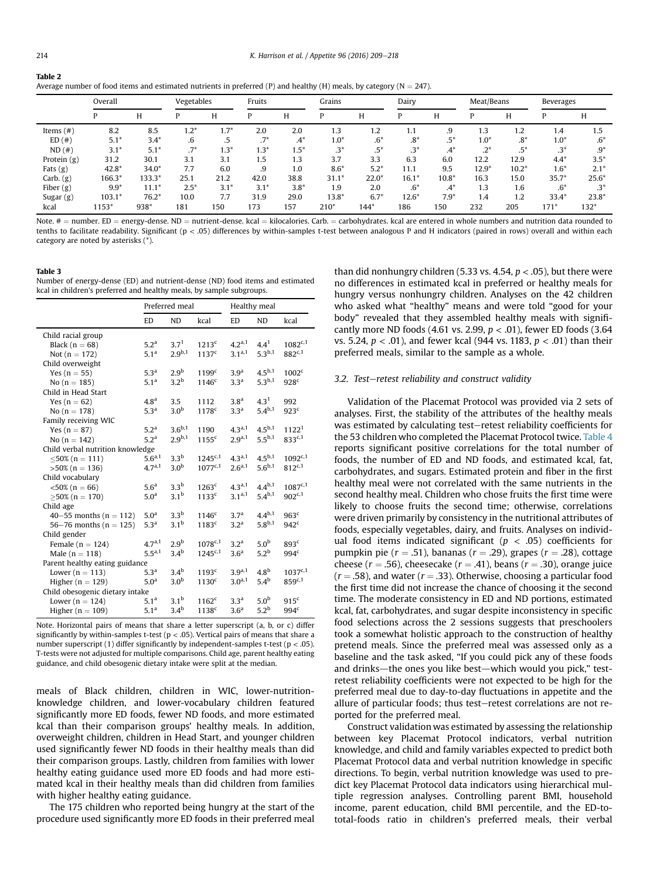<span id="page-5-0"></span>

| Table 2                                                                                                                 |
|-------------------------------------------------------------------------------------------------------------------------|
| Average number of food items and estimated nutrients in preferred (P) and healthy (H) meals, by category ( $N = 247$ ). |
|                                                                                                                         |

| Overall        |          | Vegetables |         | Fruits      |        | Grains          |         | Dairy   |         | Meat/Beans |         | Beverages |         |         |
|----------------|----------|------------|---------|-------------|--------|-----------------|---------|---------|---------|------------|---------|-----------|---------|---------|
|                | D        | H          | D       | Н           | D      | H               | D       | H       | D       | Н          | D       | Н         | P       | H       |
| Items $($ #)   | 8.2      | 8.5        | $1.2^*$ | $7*$<br>1.7 | 2.0    | 2.0             | 1.3     | 1.2     |         | .9         | 1.3     | 1.2       | 1.4     | 1.5     |
| ED(#)          | $5.1*$   | $3.4*$     | .6      |             | $.7^*$ | $\mathcal{A}^*$ | $1.0*$  | $.6*$   | $.8*$   | $.5^*$     | $1.0*$  | $.8*$     | $1.0*$  | $.6^*$  |
| $ND$ $($ # $)$ | $3.1*$   | $5.1*$     | $.7^*$  | $1.3*$      | $1.3*$ | $1.5*$          | $.3*$   | $.5*$   | $.3*$   | $.4*$      | $.2*$   | $.5^*$    | $.3*$   | $.9*$   |
| Protein (g)    | 31.2     | 30.1       | 3.1     | 3.1         | 1.5    | 1.3             | 3.7     | 3.3     | 6.3     | 6.0        | 12.2    | 12.9      | $4.4*$  | $3.5*$  |
| Fats $(g)$     | $42.8*$  | $34.0*$    | 7.7     | 6.0         | .9     | 1.0             | $8.6*$  | $5.2*$  | 11.1    | 9.5        | $12.9*$ | $10.2*$   | $1.6*$  | $2.1*$  |
| Carb. (g)      | 166.3*   | 133.3*     | 25.1    | 21.2        | 42.0   | 38.8            | $31.1*$ | $22.0*$ | $16.1*$ | $10.8*$    | 16.3    | 15.0      | $35.7*$ | $25.6*$ |
| Fiber $(g)$    | $9.9*$   | $11.1*$    | $2.5*$  | $3.1*$      | $3.1*$ | $3.8*$          | 1.9     | 2.0     | $.6*$   | $.4^*$     | 1.3     | 1.6       | $.6*$   | $.3^*$  |
| Sugar $(g)$    | $103.1*$ | $76.2*$    | 10.0    | 7.7         | 31.9   | 29.0            | $13.8*$ | $6.7*$  | $12.6*$ | $7.9*$     | 1.4     | 1.2       | $33.4*$ | $23.8*$ |
| kcal           | 1153*    | 938*       | 181     | 150         | 173    | 157             | $210*$  | $144*$  | 186     | 150        | 232     | 205       | $171*$  | $132*$  |

Note. # = number. ED = energy-dense. ND = nutrient-dense. kcal = kilocalories. Carb. = carbohydrates. kcal are entered in whole numbers and nutrition data rounded to tenths to facilitate readability. Significant (p < .05) differences by within-samples t-test between analogous P and H indicators (paired in rows) overall and within each category are noted by asterisks (\*).

#### Table 3

Number of energy-dense (ED) and nutrient-dense (ND) food items and estimated kcal in children's preferred and healthy meals, by sample subgroups.

|                                  |                  | Preferred meal     |                   | Healthy meal       |                    |                    |
|----------------------------------|------------------|--------------------|-------------------|--------------------|--------------------|--------------------|
|                                  | <b>ED</b>        | ND                 | kcal              | ED.                | <b>ND</b>          | kcal               |
| Child racial group               |                  |                    |                   |                    |                    |                    |
| Black $(n = 68)$                 | 5.2 <sup>a</sup> | $3.7^{1}$          | 1213 <sup>c</sup> | $4.2^{a,1}$        | $4.4^{1}$          | $1082^{c,1}$       |
| Not $(n = 172)$                  | 5.1 <sup>a</sup> | $2.9^{b,1}$        | 1137 <sup>c</sup> | $3.1^{a,1}$        | $5.3^{b,1}$        | 882 <sup>c,1</sup> |
| Child overweight                 |                  |                    |                   |                    |                    |                    |
| Yes $(n = 55)$                   | 5.3 <sup>a</sup> | 2.9 <sup>b</sup>   | 1199 <sup>c</sup> | 3.9 <sup>a</sup>   | $4.5^{b,1}$        | 1002 <sup>c</sup>  |
| No $(n = 185)$                   | 5.1 <sup>a</sup> | 3.2 <sup>b</sup>   | 1146 <sup>c</sup> | 3.3 <sup>a</sup>   | 5.3 <sup>b,1</sup> | 928 <sup>c</sup>   |
| Child in Head Start              |                  |                    |                   |                    |                    |                    |
| Yes $(n = 62)$                   | 4.8 <sup>a</sup> | 3.5                | 1112              | 3.8 <sup>a</sup>   | $4.3^{1}$          | 992                |
| No $(n = 178)$                   | 5.3 <sup>a</sup> | 3.0 <sup>b</sup>   | 1178 <sup>c</sup> | 3.3 <sup>a</sup>   | $5.4^{b,1}$        | 923 <sup>c</sup>   |
| Family receiving WIC             |                  |                    |                   |                    |                    |                    |
| Yes $(n = 87)$                   | 5.2 <sup>a</sup> | $3.6^{b,1}$        | 1190              | $4.3^{a,1}$        | $4.5^{b,1}$        | 1122 <sup>1</sup>  |
| No $(n = 142)$                   | 5.2 <sup>a</sup> | 2.9 <sup>b,1</sup> | $1155^c$          | 2.9 <sup>a,1</sup> | $5.5^{b,1}$        | 833 <sup>c,1</sup> |
| Child verbal nutrition knowledge |                  |                    |                   |                    |                    |                    |
| $\leq$ 50% (n = 111)             | $5.6^{a,1}$      | 3.3 <sup>b</sup>   | $1245^{c,1}$      | $4.3^{a,1}$        | $4.5^{b,1}$        | $1092^{c,1}$       |
| $>50\%$ (n = 136)                | $4.7^{a,1}$      | 3.0 <sup>b</sup>   | $1077^{c,1}$      | $2.6^{a,1}$        | $5.6^{b,1}$        | $812^{c,1}$        |
| Child vocabulary                 |                  |                    |                   |                    |                    |                    |
| $<$ 50% (n = 66)                 | 5.6 <sup>a</sup> | 3.3 <sup>b</sup>   | 1263 <sup>c</sup> | $4.3^{a,1}$        | $44^{b,1}$         | $1087^{c,1}$       |
| $\geq$ 50% (n = 170)             | 5.0 <sup>a</sup> | 3.1 <sup>b</sup>   | 1133 <sup>c</sup> | $3.1a^{1}$         | $5.4^{b,1}$        | $902^{c,1}$        |
| Child age                        |                  |                    |                   |                    |                    |                    |
| 40–55 months ( $n = 112$ )       | 5.0 <sup>a</sup> | 3.3 <sup>b</sup>   | 1146 <sup>c</sup> | 37 <sup>a</sup>    | $44^{b,1}$         | 963 <sup>c</sup>   |
| 56–76 months ( $n = 125$ )       | 5.3 <sup>a</sup> | 3.1 <sup>b</sup>   | 1183 <sup>c</sup> | 3.2 <sup>a</sup>   | $5.8^{b,1}$        | 942 <sup>c</sup>   |
| Child gender                     |                  |                    |                   |                    |                    |                    |
| Female $(n = 124)$               | $4.7^{a,1}$      | 2.9 <sup>b</sup>   | $1078^{c,1}$      | 3.2 <sup>a</sup>   | 5.0 <sup>b</sup>   | 893 <sup>c</sup>   |
| Male $(n = 118)$                 | $5.5^{a,1}$      | 3.4 <sup>b</sup>   | $1245^{c,1}$      | 3.6 <sup>a</sup>   | $5.2^b$            | 994 <sup>c</sup>   |
| Parent healthy eating guidance   |                  |                    |                   |                    |                    |                    |
| Lower $(n = 113)$                | 5.3 <sup>a</sup> | 3.4 <sup>b</sup>   | 1193 <sup>c</sup> | 3.9 <sup>a,1</sup> | 4.8 <sup>b</sup>   | $1037^{c,1}$       |
| Higher $(n = 129)$               | 5.0 <sup>a</sup> | 3.0 <sup>b</sup>   | 1130 <sup>c</sup> | 3 $0^{a,1}$        | 5.4 <sup>b</sup>   | $859^{c,1}$        |
| Child obesogenic dietary intake  |                  |                    |                   |                    |                    |                    |
| Lower $(n = 124)$                | 5.1 <sup>a</sup> | 31 <sup>b</sup>    | 1162 <sup>c</sup> | 3.3 <sup>a</sup>   | 5.0 <sup>b</sup>   | 915 <sup>c</sup>   |
| Higher $(n = 109)$               | 5.1 <sup>a</sup> | 3.4 <sup>b</sup>   | 1138 <sup>c</sup> | 3.6 <sup>a</sup>   | $5.2^{b}$          | 994 <sup>c</sup>   |

Note. Horizontal pairs of means that share a letter superscript (a, b, or c) differ significantly by within-samples t-test ( $p < .05$ ). Vertical pairs of means that share a number superscript (1) differ significantly by independent-samples t-test (p < .05). T-tests were not adjusted for multiple comparisons. Child age, parent healthy eating guidance, and child obesogenic dietary intake were split at the median.

meals of Black children, children in WIC, lower-nutritionknowledge children, and lower-vocabulary children featured significantly more ED foods, fewer ND foods, and more estimated kcal than their comparison groups' healthy meals. In addition, overweight children, children in Head Start, and younger children used significantly fewer ND foods in their healthy meals than did their comparison groups. Lastly, children from families with lower healthy eating guidance used more ED foods and had more estimated kcal in their healthy meals than did children from families with higher healthy eating guidance.

The 175 children who reported being hungry at the start of the procedure used significantly more ED foods in their preferred meal

than did nonhungry children (5.33 vs. 4.54,  $p < .05$ ), but there were no differences in estimated kcal in preferred or healthy meals for hungry versus nonhungry children. Analyses on the 42 children who asked what "healthy" means and were told "good for your body" revealed that they assembled healthy meals with significantly more ND foods (4.61 vs. 2.99,  $p < .01$ ), fewer ED foods (3.64 vs. 5.24,  $p < .01$ ), and fewer kcal (944 vs. 1183,  $p < .01$ ) than their preferred meals, similar to the sample as a whole.

# 3.2. Test-retest reliability and construct validity

Validation of the Placemat Protocol was provided via 2 sets of analyses. First, the stability of the attributes of the healthy meals was estimated by calculating test-retest reliability coefficients for the 53 children who completed the Placemat Protocol twice. [Table 4](#page-6-0) reports significant positive correlations for the total number of foods, the number of ED and ND foods, and estimated kcal, fat, carbohydrates, and sugars. Estimated protein and fiber in the first healthy meal were not correlated with the same nutrients in the second healthy meal. Children who chose fruits the first time were likely to choose fruits the second time; otherwise, correlations were driven primarily by consistency in the nutritional attributes of foods, especially vegetables, dairy, and fruits. Analyses on individual food items indicated significant ( $p < .05$ ) coefficients for pumpkin pie ( $r = .51$ ), bananas ( $r = .29$ ), grapes ( $r = .28$ ), cottage cheese ( $r = .56$ ), cheesecake ( $r = .41$ ), beans ( $r = .30$ ), orange juice  $(r = .58)$ , and water  $(r = .33)$ . Otherwise, choosing a particular food the first time did not increase the chance of choosing it the second time. The moderate consistency in ED and ND portions, estimated kcal, fat, carbohydrates, and sugar despite inconsistency in specific food selections across the 2 sessions suggests that preschoolers took a somewhat holistic approach to the construction of healthy pretend meals. Since the preferred meal was assessed only as a baseline and the task asked, "If you could pick any of these foods and drinks-the ones you like best-which would you pick," testretest reliability coefficients were not expected to be high for the preferred meal due to day-to-day fluctuations in appetite and the allure of particular foods; thus test-retest correlations are not reported for the preferred meal.

Construct validation was estimated by assessing the relationship between key Placemat Protocol indicators, verbal nutrition knowledge, and child and family variables expected to predict both Placemat Protocol data and verbal nutrition knowledge in specific directions. To begin, verbal nutrition knowledge was used to predict key Placemat Protocol data indicators using hierarchical multiple regression analyses. Controlling parent BMI, household income, parent education, child BMI percentile, and the ED-tototal-foods ratio in children's preferred meals, their verbal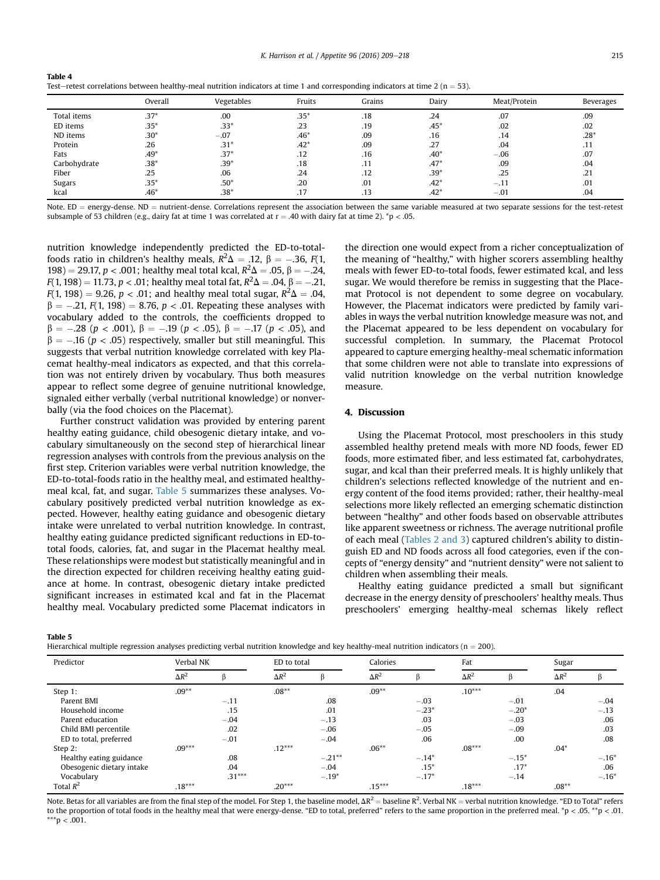|              |         |            |        | $\sim$ |        |              |           |
|--------------|---------|------------|--------|--------|--------|--------------|-----------|
|              | Overall | Vegetables | Fruits | Grains | Dairy  | Meat/Protein | Beverages |
| Total items  | $.37*$  | .00        | $.35*$ | .18    | .24    | .07          | .09       |
| ED items     | $.35*$  | $.33*$     | .23    | .19    | $.45*$ | .02          | .02       |
| ND items     | $.30*$  | $-.07$     | $.46*$ | .09    | .16    | .14          | $.28*$    |
| Protein      | .26     | $.31*$     | $.42*$ | .09    | .27    | .04          | .11       |
| Fats         | $.49*$  | $.37*$     | .12    | .16    | $.40*$ | $-.06$       | .07       |
| Carbohydrate | $.38*$  | $.39*$     | .18    | .11    | $.47*$ | .09          | .04       |
| Fiber        | .25     | .06        | .24    | .12    | $.39*$ | .25          | .21       |
| Sugars       | $.35*$  | $.50*$     | .20    | .01    | $.42*$ | $-.11$       | .01       |
| kcal         | $.46*$  | $.38*$     | .17    | .13    | $.42*$ | $-.01$       | .04       |

| Test-retest correlations between healthy-meal nutrition indicators at time 1 and corresponding indicators at time 2 ( $n = 53$ ). |  |
|-----------------------------------------------------------------------------------------------------------------------------------|--|
|-----------------------------------------------------------------------------------------------------------------------------------|--|

Note.  $ED = energy$ -dense. ND = nutrient-dense. Correlations represent the association between the same variable measured at two separate sessions for the test-retest subsample of 53 children (e.g., dairy fat at time 1 was correlated at  $r = .40$  with dairy fat at time 2). \*p < .05.

nutrition knowledge independently predicted the ED-to-totalfoods ratio in children's healthy meals,  $R^2\Delta = 12$ ,  $\beta = -.36$ ,  $F(1, \beta)$ 198) = 29.17, p < .001; healthy meal total kcal,  $R^2 \Delta = .05$ ,  $\beta = -.24$ ,  $F(1, 198) = 11.73, p < .01$ ; healthy meal total fat,  $R^2\Delta = .04, \beta = -.21,$  $F(1, 198) = 9.26$ ,  $p < .01$ ; and healthy meal total sugar,  $R^2\Delta = .04$ ,  $\beta = -.21, F(1, 198) = 8.76, p < .01$ . Repeating these analyses with vocabulary added to the controls, the coefficients dropped to  $\beta = -.28$  (p < .001),  $\beta = -.19$  (p < .05),  $\beta = -.17$  (p < .05), and  $\beta = -16$  ( $p < .05$ ) respectively, smaller but still meaningful. This suggests that verbal nutrition knowledge correlated with key Placemat healthy-meal indicators as expected, and that this correlation was not entirely driven by vocabulary. Thus both measures appear to reflect some degree of genuine nutritional knowledge, signaled either verbally (verbal nutritional knowledge) or nonverbally (via the food choices on the Placemat).

Further construct validation was provided by entering parent healthy eating guidance, child obesogenic dietary intake, and vocabulary simultaneously on the second step of hierarchical linear regression analyses with controls from the previous analysis on the first step. Criterion variables were verbal nutrition knowledge, the ED-to-total-foods ratio in the healthy meal, and estimated healthymeal kcal, fat, and sugar. Table 5 summarizes these analyses. Vocabulary positively predicted verbal nutrition knowledge as expected. However, healthy eating guidance and obesogenic dietary intake were unrelated to verbal nutrition knowledge. In contrast, healthy eating guidance predicted significant reductions in ED-tototal foods, calories, fat, and sugar in the Placemat healthy meal. These relationships were modest but statistically meaningful and in the direction expected for children receiving healthy eating guidance at home. In contrast, obesogenic dietary intake predicted significant increases in estimated kcal and fat in the Placemat healthy meal. Vocabulary predicted some Placemat indicators in the direction one would expect from a richer conceptualization of the meaning of "healthy," with higher scorers assembling healthy meals with fewer ED-to-total foods, fewer estimated kcal, and less sugar. We would therefore be remiss in suggesting that the Placemat Protocol is not dependent to some degree on vocabulary. However, the Placemat indicators were predicted by family variables in ways the verbal nutrition knowledge measure was not, and the Placemat appeared to be less dependent on vocabulary for successful completion. In summary, the Placemat Protocol appeared to capture emerging healthy-meal schematic information that some children were not able to translate into expressions of valid nutrition knowledge on the verbal nutrition knowledge measure.

# 4. Discussion

Using the Placemat Protocol, most preschoolers in this study assembled healthy pretend meals with more ND foods, fewer ED foods, more estimated fiber, and less estimated fat, carbohydrates, sugar, and kcal than their preferred meals. It is highly unlikely that children's selections reflected knowledge of the nutrient and energy content of the food items provided; rather, their healthy-meal selections more likely reflected an emerging schematic distinction between "healthy" and other foods based on observable attributes like apparent sweetness or richness. The average nutritional profile of each meal ([Tables 2 and 3](#page-5-0)) captured children's ability to distinguish ED and ND foods across all food categories, even if the concepts of "energy density" and "nutrient density" were not salient to children when assembling their meals.

Healthy eating guidance predicted a small but significant decrease in the energy density of preschoolers' healthy meals. Thus preschoolers' emerging healthy-meal schemas likely reflect

Table 5

<span id="page-6-0"></span>Table 4

Hierarchical multiple regression analyses predicting verbal nutrition knowledge and key healthy-meal nutrition indicators ( $n = 200$ ).

| Predictor                 | Verbal NK    |          | ED to total  |           | Calories     |         | Fat          |         | Sugar        |         |
|---------------------------|--------------|----------|--------------|-----------|--------------|---------|--------------|---------|--------------|---------|
|                           | $\Delta R^2$ |          | $\Delta R^2$ |           | $\Delta R^2$ |         | $\Delta R^2$ |         | $\Delta R^2$ |         |
| Step 1:                   | $.09**$      |          | $.08***$     |           | $.09***$     |         | $.10***$     |         | .04          |         |
| Parent BMI                |              | $-.11$   |              | .08       |              | $-.03$  |              | $-.01$  |              | $-.04$  |
| Household income          |              | .15      |              | .01       |              | $-.23*$ |              | $-.20*$ |              | $-.13$  |
| Parent education          |              | $-.04$   |              | $-.13$    |              | .03     |              | $-.03$  |              | .06     |
| Child BMI percentile      |              | .02      |              | $-.06$    |              | $-.05$  |              | $-.09$  |              | .03     |
| ED to total, preferred    |              | $-.01$   |              | $-.04$    |              | .06     |              | .00     |              | .08     |
| Step 2:                   | $.09***$     |          | $.12***$     |           | $.06***$     |         | $.08***$     |         | $.04*$       |         |
| Healthy eating guidance   |              | .08      |              | $-.21***$ |              | $-.14*$ |              | $-.15*$ |              | $-.16*$ |
| Obesogenic dietary intake |              | .04      |              | $-.04$    |              | $.15*$  |              | $.17*$  |              | .06     |
| Vocabulary                |              | $.31***$ |              | $-.19*$   |              | $-.17*$ |              | $-.14$  |              | $-.16*$ |
| Total $R^2$               | $.18***$     |          | $.20***$     |           | $.15***$     |         | $.18***$     |         | $.08***$     |         |

Note. Betas for all variables are from the final step of the model. For Step 1, the baseline model,  $\Delta R^2=$  baseline R<sup>2</sup>. Verbal NK = verbal nutrition knowledge. "ED to Total" refers to the proportion of total foods in the healthy meal that were energy-dense. "ED to total, preferred" refers to the same proportion in the preferred meal. \*p < .05. \*\*p < .01.  $***p < .001.$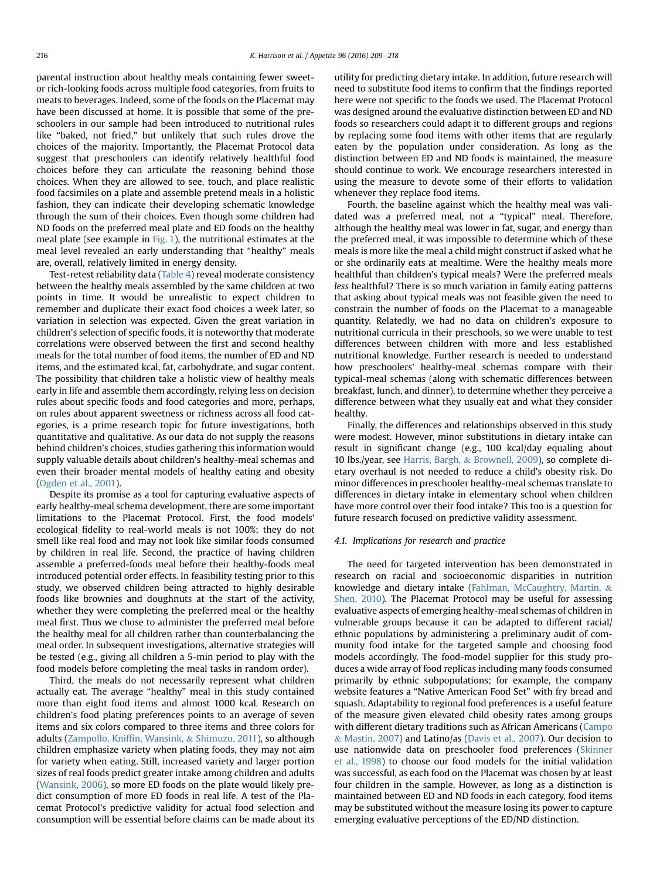parental instruction about healthy meals containing fewer sweetor rich-looking foods across multiple food categories, from fruits to meats to beverages. Indeed, some of the foods on the Placemat may have been discussed at home. It is possible that some of the preschoolers in our sample had been introduced to nutritional rules like "baked, not fried," but unlikely that such rules drove the choices of the majority. Importantly, the Placemat Protocol data suggest that preschoolers can identify relatively healthful food choices before they can articulate the reasoning behind those choices. When they are allowed to see, touch, and place realistic food facsimiles on a plate and assemble pretend meals in a holistic fashion, they can indicate their developing schematic knowledge through the sum of their choices. Even though some children had ND foods on the preferred meal plate and ED foods on the healthy meal plate (see example in [Fig. 1\)](#page-3-0), the nutritional estimates at the meal level revealed an early understanding that "healthy" meals are, overall, relatively limited in energy density.

Test-retest reliability data ([Table 4](#page-6-0)) reveal moderate consistency between the healthy meals assembled by the same children at two points in time. It would be unrealistic to expect children to remember and duplicate their exact food choices a week later, so variation in selection was expected. Given the great variation in children's selection of specific foods, it is noteworthy that moderate correlations were observed between the first and second healthy meals for the total number of food items, the number of ED and ND items, and the estimated kcal, fat, carbohydrate, and sugar content. The possibility that children take a holistic view of healthy meals early in life and assemble them accordingly, relying less on decision rules about specific foods and food categories and more, perhaps, on rules about apparent sweetness or richness across all food categories, is a prime research topic for future investigations, both quantitative and qualitative. As our data do not supply the reasons behind children's choices, studies gathering this information would supply valuable details about children's healthy-meal schemas and even their broader mental models of healthy eating and obesity ([Ogden et al., 2001\)](#page-8-0).

Despite its promise as a tool for capturing evaluative aspects of early healthy-meal schema development, there are some important limitations to the Placemat Protocol. First, the food models' ecological fidelity to real-world meals is not 100%; they do not smell like real food and may not look like similar foods consumed by children in real life. Second, the practice of having children assemble a preferred-foods meal before their healthy-foods meal introduced potential order effects. In feasibility testing prior to this study, we observed children being attracted to highly desirable foods like brownies and doughnuts at the start of the activity, whether they were completing the preferred meal or the healthy meal first. Thus we chose to administer the preferred meal before the healthy meal for all children rather than counterbalancing the meal order. In subsequent investigations, alternative strategies will be tested (e.g., giving all children a 5-min period to play with the food models before completing the meal tasks in random order).

Third, the meals do not necessarily represent what children actually eat. The average "healthy" meal in this study contained more than eight food items and almost 1000 kcal. Research on children's food plating preferences points to an average of seven items and six colors compared to three items and three colors for adults [\(Zampollo, Knif](#page-9-0)fin, Wansink, & [Shimuzu, 2011](#page-9-0)), so although children emphasize variety when plating foods, they may not aim for variety when eating. Still, increased variety and larger portion sizes of real foods predict greater intake among children and adults ([Wansink, 2006\)](#page-9-0), so more ED foods on the plate would likely predict consumption of more ED foods in real life. A test of the Placemat Protocol's predictive validity for actual food selection and consumption will be essential before claims can be made about its utility for predicting dietary intake. In addition, future research will need to substitute food items to confirm that the findings reported here were not specific to the foods we used. The Placemat Protocol was designed around the evaluative distinction between ED and ND foods so researchers could adapt it to different groups and regions by replacing some food items with other items that are regularly eaten by the population under consideration. As long as the distinction between ED and ND foods is maintained, the measure should continue to work. We encourage researchers interested in using the measure to devote some of their efforts to validation whenever they replace food items.

Fourth, the baseline against which the healthy meal was validated was a preferred meal, not a "typical" meal. Therefore, although the healthy meal was lower in fat, sugar, and energy than the preferred meal, it was impossible to determine which of these meals is more like the meal a child might construct if asked what he or she ordinarily eats at mealtime. Were the healthy meals more healthful than children's typical meals? Were the preferred meals less healthful? There is so much variation in family eating patterns that asking about typical meals was not feasible given the need to constrain the number of foods on the Placemat to a manageable quantity. Relatedly, we had no data on children's exposure to nutritional curricula in their preschools, so we were unable to test differences between children with more and less established nutritional knowledge. Further research is needed to understand how preschoolers' healthy-meal schemas compare with their typical-meal schemas (along with schematic differences between breakfast, lunch, and dinner), to determine whether they perceive a difference between what they usually eat and what they consider healthy.

Finally, the differences and relationships observed in this study were modest. However, minor substitutions in dietary intake can result in significant change (e.g., 100 kcal/day equaling about 10 lbs./year, see [Harris, Bargh,](#page-8-0) & [Brownell, 2009\)](#page-8-0), so complete dietary overhaul is not needed to reduce a child's obesity risk. Do minor differences in preschooler healthy-meal schemas translate to differences in dietary intake in elementary school when children have more control over their food intake? This too is a question for future research focused on predictive validity assessment.

## 4.1. Implications for research and practice

The need for targeted intervention has been demonstrated in research on racial and socioeconomic disparities in nutrition knowledge and dietary intake ([Fahlman, McCaughtry, Martin,](#page-8-0)  $\&$ [Shen, 2010](#page-8-0)). The Placemat Protocol may be useful for assessing evaluative aspects of emerging healthy-meal schemas of children in vulnerable groups because it can be adapted to different racial/ ethnic populations by administering a preliminary audit of community food intake for the targeted sample and choosing food models accordingly. The food-model supplier for this study produces a wide array of food replicas including many foods consumed primarily by ethnic subpopulations; for example, the company website features a "Native American Food Set" with fry bread and squash. Adaptability to regional food preferences is a useful feature of the measure given elevated child obesity rates among groups with different dietary traditions such as African Americans ([Campo](#page-8-0) & [Mastin, 2007](#page-8-0)) and Latino/as [\(Davis et al., 2007](#page-8-0)). Our decision to use nationwide data on preschooler food preferences ([Skinner](#page-9-0) [et al., 1998\)](#page-9-0) to choose our food models for the initial validation was successful, as each food on the Placemat was chosen by at least four children in the sample. However, as long as a distinction is maintained between ED and ND foods in each category, food items may be substituted without the measure losing its power to capture emerging evaluative perceptions of the ED/ND distinction.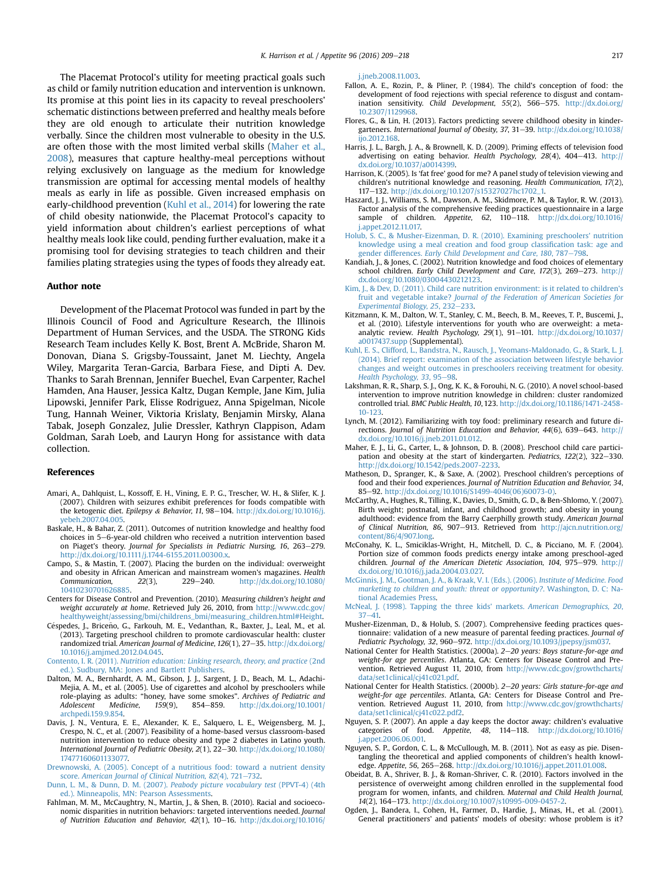<span id="page-8-0"></span>The Placemat Protocol's utility for meeting practical goals such as child or family nutrition education and intervention is unknown. Its promise at this point lies in its capacity to reveal preschoolers' schematic distinctions between preferred and healthy meals before they are old enough to articulate their nutrition knowledge verbally. Since the children most vulnerable to obesity in the U.S. are often those with the most limited verbal skills (Maher et al., 2008), measures that capture healthy-meal perceptions without relying exclusively on language as the medium for knowledge transmission are optimal for accessing mental models of healthy meals as early in life as possible. Given increased emphasis on early-childhood prevention (Kuhl et al., 2014) for lowering the rate of child obesity nationwide, the Placemat Protocol's capacity to yield information about children's earliest perceptions of what healthy meals look like could, pending further evaluation, make it a promising tool for devising strategies to teach children and their families plating strategies using the types of foods they already eat.

### Author note

Development of the Placemat Protocol was funded in part by the Illinois Council of Food and Agriculture Research, the Illinois Department of Human Services, and the USDA. The STRONG Kids Research Team includes Kelly K. Bost, Brent A. McBride, Sharon M. Donovan, Diana S. Grigsby-Toussaint, Janet M. Liechty, Angela Wiley, Margarita Teran-Garcia, Barbara Fiese, and Dipti A. Dev. Thanks to Sarah Brennan, Jennifer Buechel, Evan Carpenter, Rachel Hamden, Ana Hauser, Jessica Kaltz, Dugan Kemple, Jane Kim, Julia Lipowski, Jennifer Park, Elisse Rodriguez, Anna Spigelman, Nicole Tung, Hannah Weiner, Viktoria Krislaty, Benjamin Mirsky, Alana Tabak, Joseph Gonzalez, Julie Dressler, Kathryn Clappison, Adam Goldman, Sarah Loeb, and Lauryn Hong for assistance with data collection.

## References

- Amari, A., Dahlquist, L., Kossoff, E. H., Vining, E. P. G., Trescher, W. H., & Slifer, K. J. (2007). Children with seizures exhibit preferences for foods compatible with the ketogenic diet. Epilepsy & Behavior, 11, 98-104. [http://dx.doi.org/10.1016/j.](http://dx.doi.org/10.1016/j.yebeh.2007.04.005) [yebeh.2007.04.005](http://dx.doi.org/10.1016/j.yebeh.2007.04.005).
- Baskale, H., & Bahar, Z. (2011). Outcomes of nutrition knowledge and healthy food choices in 5–6-year-old children who received a nutrition intervention based on Piaget's theory. Journal for Specialists in Pediatric Nursing, 16, 263–279.<br><http://dx.doi.org/10.1111/j.1744-6155.2011.00300.x>.
- Campo, S., & Mastin, T. (2007). Placing the burden on the individual: overweight and obesity in African American and mainstream women's magazines. Health Communication, 22(3), 229-240. [http://dx.doi.org/10.1080/](http://dx.doi.org/10.1080/10410230701626885) [10410230701626885](http://dx.doi.org/10.1080/10410230701626885).
- Centers for Disease Control and Prevention. (2010). Measuring children's height and weight accurately at home. Retrieved July 26, 2010, from [http://www.cdc.gov/](http://www.cdc.gov/healthyweight/assessing/bmi/childrens_bmi/measuring_children.html#Height) [healthyweight/assessing/bmi/childrens\\_bmi/measuring\\_children.html#Height.](http://www.cdc.gov/healthyweight/assessing/bmi/childrens_bmi/measuring_children.html#Height)
- Céspedes, J., Briceño, G., Farkouh, M. E., Vedanthan, R., Baxter, J., Leal, M., et al. (2013). Targeting preschool children to promote cardiovascular health: cluster randomized trial. American Journal of Medicine, 126(1), 27-35. [http://dx.doi.org/](http://dx.doi.org/10.1016/j.amjmed.2012.04.045) [10.1016/j.amjmed.2012.04.045.](http://dx.doi.org/10.1016/j.amjmed.2012.04.045)

Contento, I. R. (2011). [Nutrition education: Linking research, theory, and practice](http://refhub.elsevier.com/S0195-6663(15)30016-7/sref6) (2nd [ed.\). Sudbury, MA: Jones and Bartlett Publishers](http://refhub.elsevier.com/S0195-6663(15)30016-7/sref6).

- Dalton, M. A., Bernhardt, A. M., Gibson, J. J., Sargent, J. D., Beach, M. L., Adachi-Mejia, A. M., et al. (2005). Use of cigarettes and alcohol by preschoolers while role-playing as adults: "honey, have some smokes". Archives of Pediatric and Adolescent Medicine, 159(9), 854-859. [http://dx.doi.org/10.1001/](http://dx.doi.org/10.1001/archpedi.159.9.854) [archpedi.159.9.854](http://dx.doi.org/10.1001/archpedi.159.9.854).
- Davis, J. N., Ventura, E. E., Alexander, K. E., Salquero, L. E., Weigensberg, M. J., Crespo, N. C., et al. (2007). Feasibility of a home-based versus classroom-based nutrition intervention to reduce obesity and type 2 diabetes in Latino youth. International Journal of Pediatric Obesity, 2(1), 22-30. [http://dx.doi.org/10.1080/](http://dx.doi.org/10.1080/17477160601133077) [17477160601133077.](http://dx.doi.org/10.1080/17477160601133077)

[Drewnowski, A. \(2005\). Concept of a nutritious food: toward a nutrient density](http://refhub.elsevier.com/S0195-6663(15)30016-7/sref9) score. [American Journal of Clinical Nutrition, 82](http://refhub.elsevier.com/S0195-6663(15)30016-7/sref9)(4), 721-[732.](http://refhub.elsevier.com/S0195-6663(15)30016-7/sref9)

[Dunn, L. M., & Dunn, D. M. \(2007\).](http://refhub.elsevier.com/S0195-6663(15)30016-7/sref10) Peabody picture vocabulary test (PPVT-4) (4th [ed.\). Minneapolis, MN: Pearson Assessments](http://refhub.elsevier.com/S0195-6663(15)30016-7/sref10).

Fahlman, M. M., McCaughtry, N., Martin, J., & Shen, B. (2010). Racial and socioeconomic disparities in nutrition behaviors: targeted interventions needed. Journal of Nutrition Education and Behavior, 42(1), 10-16. [http://dx.doi.org/10.1016/](http://dx.doi.org/10.1016/j.jneb.2008.11.003) [j.jneb.2008.11.003.](http://dx.doi.org/10.1016/j.jneb.2008.11.003)

- Fallon, A. E., Rozin, P., & Pliner, P. (1984). The child's conception of food: the development of food rejections with special reference to disgust and contamination sensitivity. Child Development, 55(2), 566-575. [http://dx.doi.org/](http://dx.doi.org/10.2307/1129968) [10.2307/1129968](http://dx.doi.org/10.2307/1129968).
- Flores, G., & Lin, H. (2013). Factors predicting severe childhood obesity in kindergarteners. International Journal of Obesity, 37, 31-39. [http://dx.doi.org/10.1038/](http://dx.doi.org/10.1038/ijo.2012.168) [ijo.2012.168](http://dx.doi.org/10.1038/ijo.2012.168).
- Harris, J. L., Bargh, J. A., & Brownell, K. D. (2009). Priming effects of television food advertising on eating behavior. Health Psychology,  $28(4)$ ,  $404-413$ . [http://](http://dx.doi.org/10.1037/a0014399) [dx.doi.org/10.1037/a0014399.](http://dx.doi.org/10.1037/a0014399)
- Harrison, K. (2005). Is 'fat free' good for me? A panel study of television viewing and children's nutritional knowledge and reasoning. Health Communication, 17(2), 117e132. [http://dx.doi.org/10.1207/s15327027hc1702\\_1.](http://dx.doi.org/10.1207/s15327027hc1702_1)
- Haszard, J. J., Williams, S. M., Dawson, A. M., Skidmore, P. M., & Taylor, R. W. (2013). Factor analysis of the comprehensive feeding practices questionnaire in a large sample of children. Appetite, 62, 110-118. [http://dx.doi.org/10.1016/](http://dx.doi.org/10.1016/j.appet.2012.11.017) [j.appet.2012.11.017.](http://dx.doi.org/10.1016/j.appet.2012.11.017)
- [Holub, S. C., & Musher-Eizenman, D. R. \(2010\). Examining preschoolers' nutrition](http://refhub.elsevier.com/S0195-6663(15)30016-7/sref17) [knowledge using a meal creation and food group classi](http://refhub.elsevier.com/S0195-6663(15)30016-7/sref17)fication task: age and gender differences. [Early Child Development and Care, 180](http://refhub.elsevier.com/S0195-6663(15)30016-7/sref17), 787-[798](http://refhub.elsevier.com/S0195-6663(15)30016-7/sref17).
- Kandiah, J., & Jones, C. (2002). Nutrition knowledge and food choices of elementary school children. Early Child Development and Care, 172(3), 269-273. [http://](http://dx.doi.org/10.1080/03004430212123) [dx.doi.org/10.1080/03004430212123.](http://dx.doi.org/10.1080/03004430212123)
- [Kim, J., & Dev, D. \(2011\). Child care nutrition environment: is it related to children's](http://refhub.elsevier.com/S0195-6663(15)30016-7/sref19) fruit and vegetable intake? [Journal of the Federation of American Societies for](http://refhub.elsevier.com/S0195-6663(15)30016-7/sref19) [Experimental Biology, 25](http://refhub.elsevier.com/S0195-6663(15)30016-7/sref19), 232–[233](http://refhub.elsevier.com/S0195-6663(15)30016-7/sref19).<br>Kitzmann, K. M., Dalton, W. T., Stanley, C. M., Beech, B. M., Reeves, T. P., Buscemi, J.
- et al. (2010). Lifestyle interventions for youth who are overweight: a metaanalytic review. Health Psychology, 29(1), 91-101. [http://dx.doi.org/10.1037/](http://dx.doi.org/10.1037/a0017437.supp) [a0017437.supp](http://dx.doi.org/10.1037/a0017437.supp) (Supplemental).
- [Kuhl, E. S., Clifford, L., Bandstra, N., Rausch, J., Yeomans-Maldonado, G., & Stark, L. J.](http://refhub.elsevier.com/S0195-6663(15)30016-7/sref21) [\(2014\). Brief report: examination of the association between lifestyle behavior](http://refhub.elsevier.com/S0195-6663(15)30016-7/sref21) [changes and weight outcomes in preschoolers receiving treatment for obesity.](http://refhub.elsevier.com/S0195-6663(15)30016-7/sref21) [Health Psychology, 33](http://refhub.elsevier.com/S0195-6663(15)30016-7/sref21), 95-[98](http://refhub.elsevier.com/S0195-6663(15)30016-7/sref21).
- Lakshman, R. R., Sharp, S. J., Ong, K. K., & Forouhi, N. G. (2010). A novel school-based intervention to improve nutrition knowledge in children: cluster randomized controlled trial. BMC Public Health, 10, 123. [http://dx.doi.org/10.1186/1471-2458-](http://dx.doi.org/10.1186/1471-2458-10-123) [10-123](http://dx.doi.org/10.1186/1471-2458-10-123).
- Lynch, M. (2012). Familiarizing with toy food: preliminary research and future directions. Journal of Nutrition Education and Behavior, 44(6), 639-643. [http://](http://dx.doi.org/10.1016/j.jneb.2011.01.012) [dx.doi.org/10.1016/j.jneb.2011.01.012](http://dx.doi.org/10.1016/j.jneb.2011.01.012).
- Maher, E. J., Li, G., Carter, L., & Johnson, D. B. (2008). Preschool child care participation and obesity at the start of kindergarten. Pediatrics, 122(2), 322-330. [http://dx.doi.org/10.1542/peds.2007-2233.](http://dx.doi.org/10.1542/peds.2007-2233)
- Matheson, D., Spranger, K., & Saxe, A. (2002). Preschool children's perceptions of food and their food experiences. Journal of Nutrition Education and Behavior, 34, 85-92. [http://dx.doi.org/10.1016/S1499-4046\(06\)60073-0\).](http://dx.doi.org/10.1016/S1499-4046(06)60073-0))
- McCarthy, A., Hughes, R., Tilling, K., Davies, D., Smith, G. D., & Ben-Shlomo, Y. (2007). Birth weight; postnatal, infant, and childhood growth; and obesity in young adulthood: evidence from the Barry Caerphilly growth study. American Journal of Clinical Nutrition, 86, 907-913. Retrieved from [http://ajcn.nutrition.org/](http://ajcn.nutrition.org/content/86/4/907.long) [content/86/4/907.long](http://ajcn.nutrition.org/content/86/4/907.long).
- McConahy, K. L., Smiciklas-Wright, H., Mitchell, D. C., & Picciano, M. F. (2004). Portion size of common foods predicts energy intake among preschool-aged children. Journal of the American Dietetic Association, 104, 975-979. [http://](http://dx.doi.org/10.1016/j.jada.2004.03.027) [dx.doi.org/10.1016/j.jada.2004.03.027.](http://dx.doi.org/10.1016/j.jada.2004.03.027)
- [McGinnis, J. M., Gootman, J. A., & Kraak, V. I. \(Eds.\). \(2006\).](http://refhub.elsevier.com/S0195-6663(15)30016-7/sref28) Institute of Medicine. Food [marketing to children and youth: threat or opportunity?](http://refhub.elsevier.com/S0195-6663(15)30016-7/sref28). Washington, D. C: Na[tional Academies Press](http://refhub.elsevier.com/S0195-6663(15)30016-7/sref28).
- [McNeal, J. \(1998\). Tapping the three kids' markets.](http://refhub.elsevier.com/S0195-6663(15)30016-7/sref29) American Demographics, 20,  $37 - 41$  $37 - 41$ .
- Musher-Eizenman, D., & Holub, S. (2007). Comprehensive feeding practices questionnaire: validation of a new measure of parental feeding practices. Journal of Pediatric Psychology, 32, 960-972. [http://dx.doi.org/10.1093/jpepsy/jsm037.](http://dx.doi.org/10.1093/jpepsy/jsm037)
- National Center for Health Statistics. (2000a). 2-20 years: Boys stature-for-age and weight-for age percentiles. Atlanta, GA: Centers for Disease Control and Prevention. Retrieved August 11, 2010, from [http://www.cdc.gov/growthcharts/](http://www.cdc.gov/growthcharts/data/set1clinical/cj41c021.pdf) [data/set1clinical/cj41c021.pdf.](http://www.cdc.gov/growthcharts/data/set1clinical/cj41c021.pdf)
- National Center for Health Statistics. (2000b). 2-20 years: Girls stature-for-age and weight-for age percentiles. Atlanta, GA: Centers for Disease Control and Prevention. Retrieved August 11, 2010, from [http://www.cdc.gov/growthcharts/](http://www.cdc.gov/growthcharts/data/set1clinical/cj41c022.pdf2) [data/set1clinical/cj41c022.pdf2](http://www.cdc.gov/growthcharts/data/set1clinical/cj41c022.pdf2).
- Nguyen, S. P. (2007). An apple a day keeps the doctor away: children's evaluative<br>categories of food. Appetite, 48, 114–118. [http://dx.doi.org/10.1016/](http://dx.doi.org/10.1016/j.appet.2006.06.001) [j.appet.2006.06.001.](http://dx.doi.org/10.1016/j.appet.2006.06.001)
- Nguyen, S. P., Gordon, C. L., & McCullough, M. B. (2011). Not as easy as pie. Disentangling the theoretical and applied components of children's health knowledge. Appetite, 56, 265-268. <http://dx.doi.org/10.1016/j.appet.2011.01.008>.
- Obeidat, B. A., Shriver, B. J., & Roman-Shriver, C. R. (2010). Factors involved in the persistence of overweight among children enrolled in the supplemental food program for women, infants, and children. Maternal and Child Health Journal, 14(2), 164-173. [http://dx.doi.org/10.1007/s10995-009-0457-2.](http://dx.doi.org/10.1007/s10995-009-0457-2)
- Ogden, J., Bandera, I., Cohen, H., Farmer, D., Hardie, J., Minas, H., et al. (2001). General practitioners' and patients' models of obesity: whose problem is it?